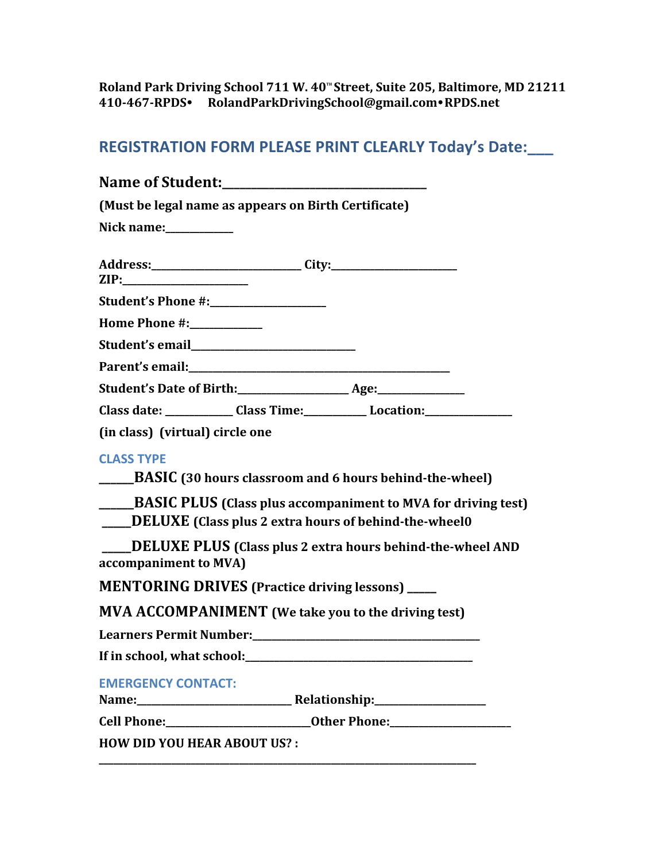Roland Park Driving School 711 W. 40<sup>th</sup> Street, Suite 205, Baltimore, MD 21211 **410-467-RPDS**! **RolandParkDrivingSchool@gmail.com**!**RPDS.net** 

## **REGISTRATION FORM PLEASE PRINT CLEARLY Today's Date:\_\_\_**

| <b>Name of Student:________________________________</b>                                                                                                                                                               |
|-----------------------------------------------------------------------------------------------------------------------------------------------------------------------------------------------------------------------|
| (Must be legal name as appears on Birth Certificate)                                                                                                                                                                  |
| Nick name:___________                                                                                                                                                                                                 |
|                                                                                                                                                                                                                       |
| Student's Phone #:__________________                                                                                                                                                                                  |
| Home Phone #:___________                                                                                                                                                                                              |
|                                                                                                                                                                                                                       |
|                                                                                                                                                                                                                       |
|                                                                                                                                                                                                                       |
| Class date: _____________Class Time: ______________ Location: __________________                                                                                                                                      |
| (in class) (virtual) circle one                                                                                                                                                                                       |
| <b>CLASS TYPE</b><br>______BASIC (30 hours classroom and 6 hours behind-the-wheel)<br>______BASIC PLUS (Class plus accompaniment to MVA for driving test)<br>___DELUXE (Class plus 2 extra hours of behind-the-wheel0 |
| ____DELUXE PLUS (Class plus 2 extra hours behind-the-wheel AND<br>accompaniment to MVA)                                                                                                                               |
| <b>MENTORING DRIVES (Practice driving lessons)</b> ____                                                                                                                                                               |
| <b>MVA ACCOMPANIMENT</b> (We take you to the driving test)                                                                                                                                                            |
| If in school, what school:                                                                                                                                                                                            |
| <b>EMERGENCY CONTACT:</b>                                                                                                                                                                                             |
|                                                                                                                                                                                                                       |
| <b>HOW DID YOU HEAR ABOUT US?:</b>                                                                                                                                                                                    |